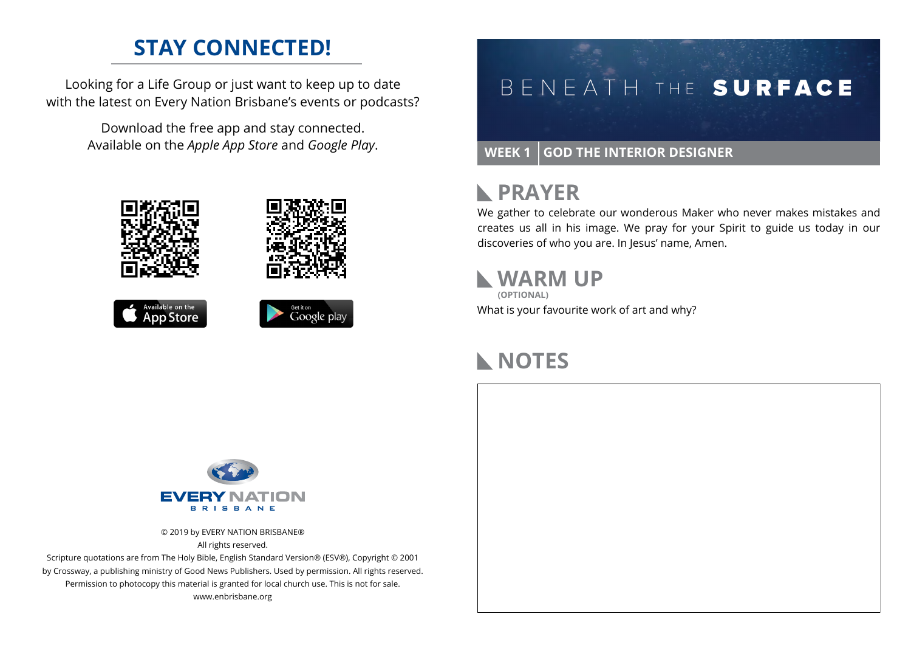## **STAY CONNECTED!**

Looking for a Life Group or just want to keep up to date with the latest on Every Nation Brisbane's events or podcasts?

> Download the free app and stay connected. Available on the *Apple App Store* and *Google Play*.









# BENEATH THE SURFACE

#### **WEEK 1 GOD THE INTERIOR DESIGNER**

## **RAYER**

We gather to celebrate our wonderous Maker who never makes mistakes and creates us all in his image. We pray for your Spirit to guide us today in our discoveries of who you are. In Jesus' name, Amen.

### **WARM UP**

What is your favourite work of art and why? **(OPTIONAL)**

## **NOTES**



© 2019 by EVERY NATION BRISBANE® All rights reserved.

Scripture quotations are from The Holy Bible, English Standard Version® (ESV®), Copyright © 2001 by Crossway, a publishing ministry of Good News Publishers. Used by permission. All rights reserved. Permission to photocopy this material is granted for local church use. This is not for sale. www.enbrisbane.org